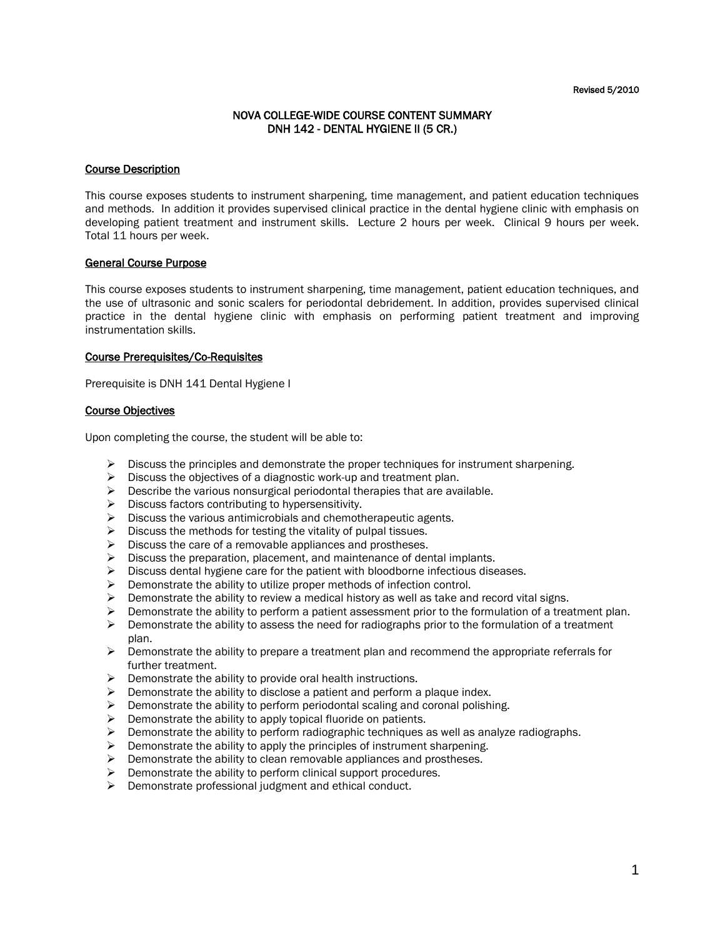# NOVA COLLEGE-WIDE COURSE CONTENT SUMMARY DNH 142 - DENTAL HYGIENE II (5 CR.)

## Course Description

This course exposes students to instrument sharpening, time management, and patient education techniques and methods. In addition it provides supervised clinical practice in the dental hygiene clinic with emphasis on developing patient treatment and instrument skills. Lecture 2 hours per week. Clinical 9 hours per week. Total 11 hours per week.

## General Course Purpose

This course exposes students to instrument sharpening, time management, patient education techniques, and the use of ultrasonic and sonic scalers for periodontal debridement. In addition, provides supervised clinical practice in the dental hygiene clinic with emphasis on performing patient treatment and improving instrumentation skills.

#### Course Prerequisites/Co-Requisites

Prerequisite is DNH 141 Dental Hygiene I

## Course Objectives

Upon completing the course, the student will be able to:

- $\triangleright$  Discuss the principles and demonstrate the proper techniques for instrument sharpening.
- $\triangleright$  Discuss the objectives of a diagnostic work-up and treatment plan.
- $\triangleright$  Describe the various nonsurgical periodontal therapies that are available.
- $\triangleright$  Discuss factors contributing to hypersensitivity.
- $\triangleright$  Discuss the various antimicrobials and chemotherapeutic agents.
- $\triangleright$  Discuss the methods for testing the vitality of pulpal tissues.
- $\triangleright$  Discuss the care of a removable appliances and prostheses.
- $\triangleright$  Discuss the preparation, placement, and maintenance of dental implants.
- $\triangleright$  Discuss dental hygiene care for the patient with bloodborne infectious diseases.
- $\triangleright$  Demonstrate the ability to utilize proper methods of infection control.
- $\triangleright$  Demonstrate the ability to review a medical history as well as take and record vital signs.
- $\triangleright$  Demonstrate the ability to perform a patient assessment prior to the formulation of a treatment plan.
- Demonstrate the ability to assess the need for radiographs prior to the formulation of a treatment plan.
- $\triangleright$  Demonstrate the ability to prepare a treatment plan and recommend the appropriate referrals for further treatment.
- $\triangleright$  Demonstrate the ability to provide oral health instructions.
- $\triangleright$  Demonstrate the ability to disclose a patient and perform a plaque index.
- $\triangleright$  Demonstrate the ability to perform periodontal scaling and coronal polishing.
- $\triangleright$  Demonstrate the ability to apply topical fluoride on patients.
- $\triangleright$  Demonstrate the ability to perform radiographic techniques as well as analyze radiographs.
- $\triangleright$  Demonstrate the ability to apply the principles of instrument sharpening.
- $\triangleright$  Demonstrate the ability to clean removable appliances and prostheses.
- $\triangleright$  Demonstrate the ability to perform clinical support procedures.
- $\triangleright$  Demonstrate professional judgment and ethical conduct.